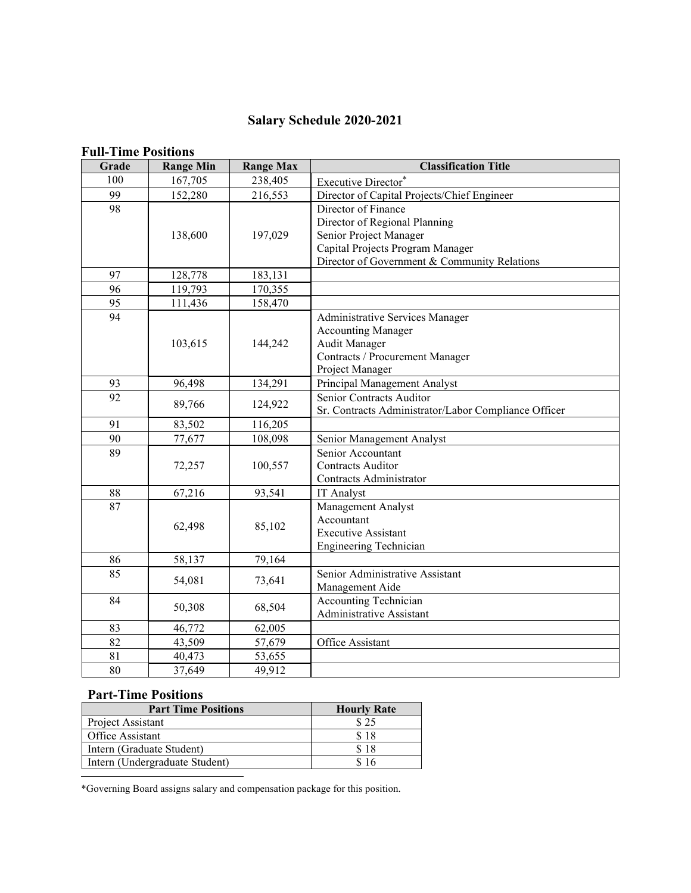# **Salary Schedule 2020-2021**

#### **Full-Time Positions**

| Grade | <b>Range Min</b> | <b>Range Max</b> | <b>Classification Title</b>                                                                                                                                        |
|-------|------------------|------------------|--------------------------------------------------------------------------------------------------------------------------------------------------------------------|
| 100   | 167,705          | 238,405          | Executive Director*                                                                                                                                                |
| 99    | 152,280          | 216,553          | Director of Capital Projects/Chief Engineer                                                                                                                        |
| 98    | 138,600          | 197,029          | Director of Finance<br>Director of Regional Planning<br>Senior Project Manager<br>Capital Projects Program Manager<br>Director of Government & Community Relations |
| 97    | 128,778          | 183,131          |                                                                                                                                                                    |
| 96    | 119,793          | 170,355          |                                                                                                                                                                    |
| 95    | 111,436          | 158,470          |                                                                                                                                                                    |
| 94    | 103,615          | 144,242          | Administrative Services Manager<br><b>Accounting Manager</b><br>Audit Manager<br>Contracts / Procurement Manager<br>Project Manager                                |
| 93    | 96,498           | 134,291          | Principal Management Analyst                                                                                                                                       |
| 92    | 89,766           | 124,922          | Senior Contracts Auditor<br>Sr. Contracts Administrator/Labor Compliance Officer                                                                                   |
| 91    | 83,502           | 116,205          |                                                                                                                                                                    |
| 90    | 77,677           | 108,098          | Senior Management Analyst                                                                                                                                          |
| 89    | 72,257           | 100,557          | Senior Accountant<br><b>Contracts Auditor</b><br>Contracts Administrator                                                                                           |
| 88    | 67,216           | 93,541           | IT Analyst                                                                                                                                                         |
| 87    | 62,498           | 85,102           | Management Analyst<br>Accountant<br><b>Executive Assistant</b><br><b>Engineering Technician</b>                                                                    |
| 86    | 58,137           | 79,164           |                                                                                                                                                                    |
| 85    | 54,081           | 73,641           | Senior Administrative Assistant<br>Management Aide                                                                                                                 |
| 84    | 50,308           | 68,504           | Accounting Technician<br>Administrative Assistant                                                                                                                  |
| 83    | 46,772           | 62,005           |                                                                                                                                                                    |
| 82    | 43,509           | 57,679           | Office Assistant                                                                                                                                                   |
| 81    | 40,473           | 53,655           |                                                                                                                                                                    |
| 80    | 37,649           | 49,912           |                                                                                                                                                                    |

## **Part-Time Positions**

| <b>Part Time Positions</b>     | <b>Hourly Rate</b> |
|--------------------------------|--------------------|
| Project Assistant              | \$25               |
| Office Assistant               | \$18               |
| Intern (Graduate Student)      | \$18               |
| Intern (Undergraduate Student) |                    |

\*Governing Board assigns salary and compensation package for this position.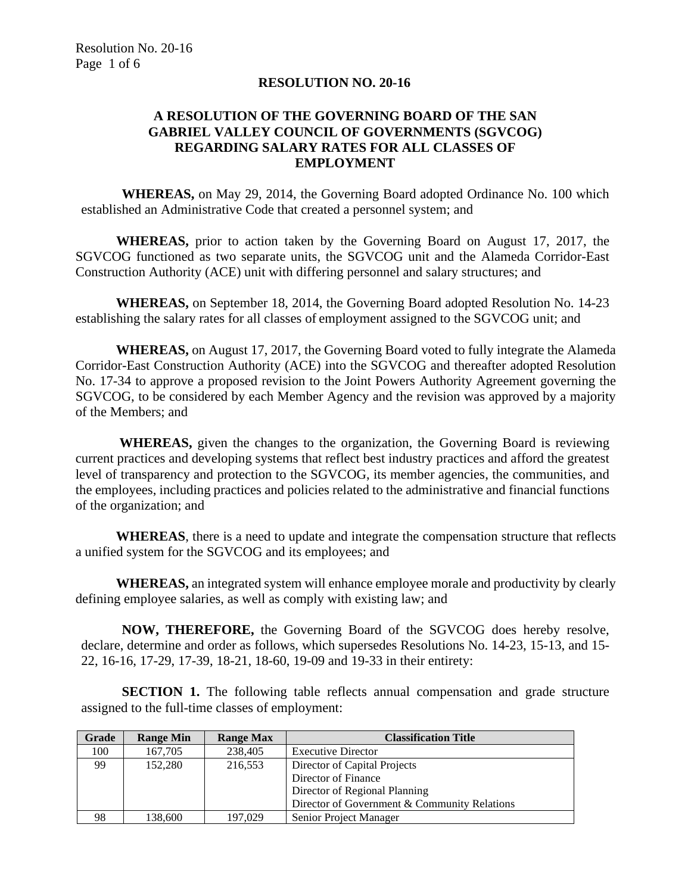### **RESOLUTION NO. 20-16**

## **A RESOLUTION OF THE GOVERNING BOARD OF THE SAN GABRIEL VALLEY COUNCIL OF GOVERNMENTS (SGVCOG) REGARDING SALARY RATES FOR ALL CLASSES OF EMPLOYMENT**

**WHEREAS,** on May 29, 2014, the Governing Board adopted Ordinance No. 100 which established an Administrative Code that created a personnel system; and

**WHEREAS,** prior to action taken by the Governing Board on August 17, 2017, the SGVCOG functioned as two separate units, the SGVCOG unit and the Alameda Corridor-East Construction Authority (ACE) unit with differing personnel and salary structures; and

**WHEREAS,** on September 18, 2014, the Governing Board adopted Resolution No. 14-23 establishing the salary rates for all classes of employment assigned to the SGVCOG unit; and

**WHEREAS,** on August 17, 2017, the Governing Board voted to fully integrate the Alameda Corridor-East Construction Authority (ACE) into the SGVCOG and thereafter adopted Resolution No. 17-34 to approve a proposed revision to the Joint Powers Authority Agreement governing the SGVCOG, to be considered by each Member Agency and the revision was approved by a majority of the Members; and

**WHEREAS,** given the changes to the organization, the Governing Board is reviewing current practices and developing systems that reflect best industry practices and afford the greatest level of transparency and protection to the SGVCOG, its member agencies, the communities, and the employees, including practices and policies related to the administrative and financial functions of the organization; and

**WHEREAS**, there is a need to update and integrate the compensation structure that reflects a unified system for the SGVCOG and its employees; and

**WHEREAS,** an integrated system will enhance employee morale and productivity by clearly defining employee salaries, as well as comply with existing law; and

**NOW, THEREFORE,** the Governing Board of the SGVCOG does hereby resolve, declare, determine and order as follows, which supersedes Resolutions No. 14-23, 15-13, and 15- 22, 16-16, 17-29, 17-39, 18-21, 18-60, 19-09 and 19-33 in their entirety:

**SECTION 1.** The following table reflects annual compensation and grade structure assigned to the full-time classes of employment:

| Grade | <b>Range Min</b> | <b>Range Max</b> | <b>Classification Title</b>                  |
|-------|------------------|------------------|----------------------------------------------|
| 100   | 167,705          | 238,405          | <b>Executive Director</b>                    |
| 99    | 152,280          | 216,553          | Director of Capital Projects                 |
|       |                  |                  | Director of Finance                          |
|       |                  |                  | Director of Regional Planning                |
|       |                  |                  | Director of Government & Community Relations |
| 98    | 138,600          | 197,029          | <b>Senior Project Manager</b>                |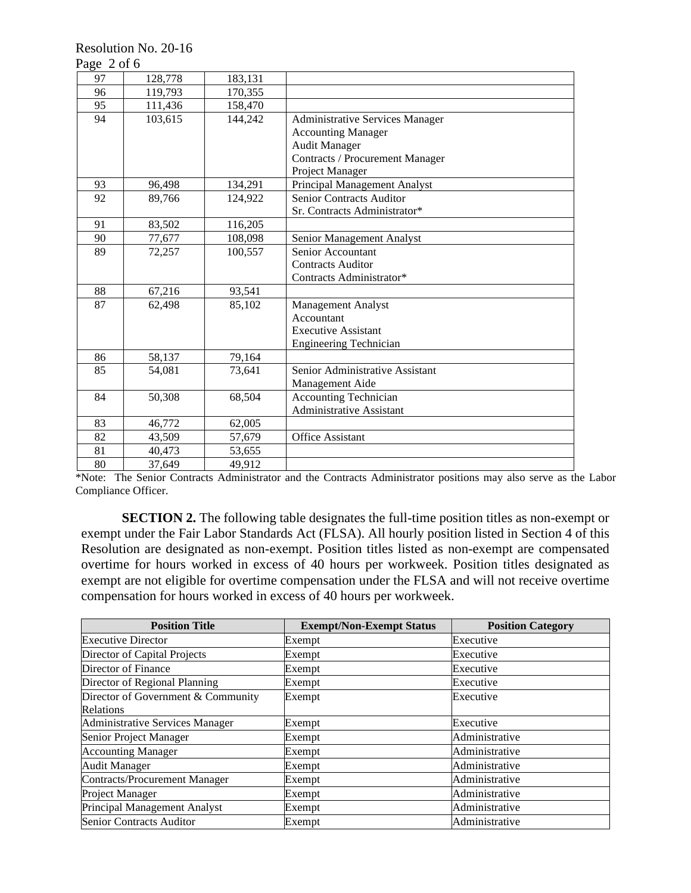Resolution No. 20-16

| ⌒<br>≁ลย<br>ш | $^{\circ}$ |  |
|---------------|------------|--|
|---------------|------------|--|

| 97 | 128,778 | 183,131 |                                        |
|----|---------|---------|----------------------------------------|
| 96 | 119,793 | 170,355 |                                        |
| 95 | 111,436 | 158,470 |                                        |
| 94 | 103,615 | 144,242 | <b>Administrative Services Manager</b> |
|    |         |         | <b>Accounting Manager</b>              |
|    |         |         | <b>Audit Manager</b>                   |
|    |         |         | <b>Contracts / Procurement Manager</b> |
|    |         |         | Project Manager                        |
| 93 | 96,498  | 134,291 | Principal Management Analyst           |
| 92 | 89,766  | 124,922 | <b>Senior Contracts Auditor</b>        |
|    |         |         | Sr. Contracts Administrator*           |
| 91 | 83,502  | 116,205 |                                        |
| 90 | 77,677  | 108,098 | Senior Management Analyst              |
| 89 | 72,257  | 100,557 | Senior Accountant                      |
|    |         |         | <b>Contracts Auditor</b>               |
|    |         |         | Contracts Administrator*               |
| 88 | 67,216  | 93,541  |                                        |
| 87 | 62,498  | 85,102  | Management Analyst                     |
|    |         |         | Accountant                             |
|    |         |         | <b>Executive Assistant</b>             |
|    |         |         | <b>Engineering Technician</b>          |
| 86 | 58,137  | 79,164  |                                        |
| 85 | 54,081  | 73,641  | Senior Administrative Assistant        |
|    |         |         | Management Aide                        |
| 84 | 50,308  | 68,504  | <b>Accounting Technician</b>           |
|    |         |         | <b>Administrative Assistant</b>        |
| 83 | 46,772  | 62,005  |                                        |
| 82 | 43,509  | 57,679  | Office Assistant                       |
| 81 | 40,473  | 53,655  |                                        |
| 80 | 37,649  | 49,912  |                                        |

\*Note: The Senior Contracts Administrator and the Contracts Administrator positions may also serve as the Labor Compliance Officer.

**SECTION 2.** The following table designates the full-time position titles as non-exempt or exempt under the Fair Labor Standards Act (FLSA). All hourly position listed in Section 4 of this Resolution are designated as non-exempt. Position titles listed as non-exempt are compensated overtime for hours worked in excess of 40 hours per workweek. Position titles designated as exempt are not eligible for overtime compensation under the FLSA and will not receive overtime compensation for hours worked in excess of 40 hours per workweek.

| <b>Position Title</b>                  | <b>Exempt/Non-Exempt Status</b> | <b>Position Category</b> |
|----------------------------------------|---------------------------------|--------------------------|
| <b>Executive Director</b>              | Exempt                          | Executive                |
| Director of Capital Projects           | Exempt                          | Executive                |
| Director of Finance                    | Exempt                          | Executive                |
| Director of Regional Planning          | Exempt                          | Executive                |
| Director of Government & Community     | Exempt                          | Executive                |
| Relations                              |                                 |                          |
| <b>Administrative Services Manager</b> | Exempt                          | Executive                |
| Senior Project Manager                 | Exempt                          | Administrative           |
| <b>Accounting Manager</b>              | Exempt                          | Administrative           |
| <b>Audit Manager</b>                   | Exempt                          | Administrative           |
| <b>Contracts/Procurement Manager</b>   | Exempt                          | Administrative           |
| Project Manager                        | Exempt                          | Administrative           |
| Principal Management Analyst           | Exempt                          | Administrative           |
| <b>Senior Contracts Auditor</b>        | Exempt                          | Administrative           |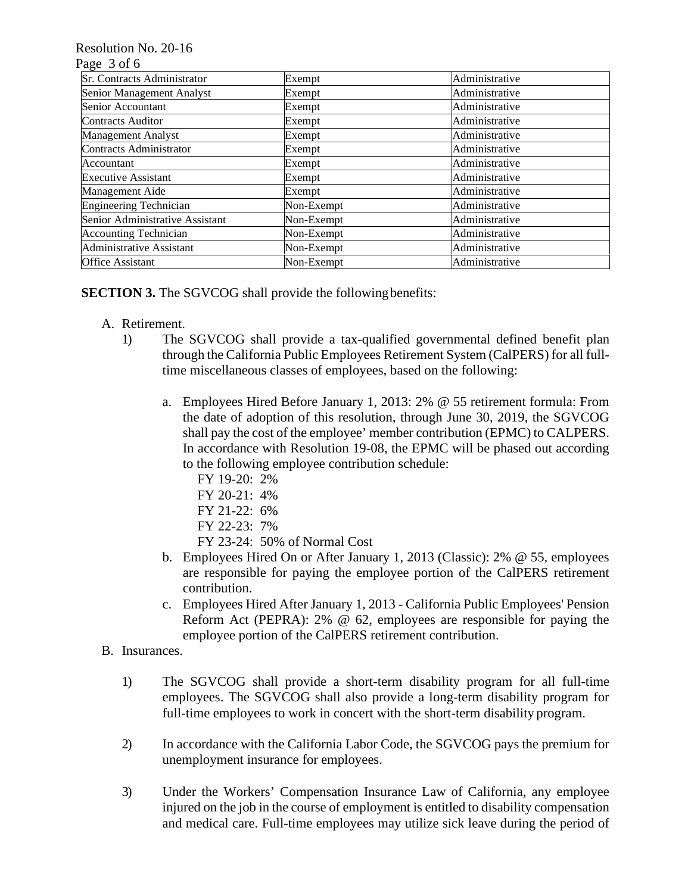### Resolution No. 20-16

#### Page 3 of 6

| Sr. Contracts Administrator     | Exempt     | Administrative |
|---------------------------------|------------|----------------|
| Senior Management Analyst       | Exempt     | Administrative |
| Senior Accountant               | Exempt     | Administrative |
| <b>Contracts Auditor</b>        | Exempt     | Administrative |
| <b>Management Analyst</b>       | Exempt     | Administrative |
| <b>Contracts Administrator</b>  | Exempt     | Administrative |
| Accountant                      | Exempt     | Administrative |
| <b>Executive Assistant</b>      | Exempt     | Administrative |
| Management Aide                 | Exempt     | Administrative |
| <b>Engineering Technician</b>   | Non-Exempt | Administrative |
| Senior Administrative Assistant | Non-Exempt | Administrative |
| <b>Accounting Technician</b>    | Non-Exempt | Administrative |
| Administrative Assistant        | Non-Exempt | Administrative |
| <b>Office Assistant</b>         | Non-Exempt | Administrative |

**SECTION 3.** The SGVCOG shall provide the following benefits:

- A. Retirement.
	- 1) The SGVCOG shall provide a tax-qualified governmental defined benefit plan through the California Public Employees Retirement System (CalPERS) for all fulltime miscellaneous classes of employees, based on the following:
		- a. Employees Hired Before January 1, 2013: 2% @ 55 retirement formula: From the date of adoption of this resolution, through June 30, 2019, the SGVCOG shall pay the cost of the employee' member contribution (EPMC) to CALPERS. In accordance with Resolution 19-08, the EPMC will be phased out according to the following employee contribution schedule:
			- FY 19-20: 2%
			- FY 20-21: 4%
			- FY 21-22: 6%
			- FY 22-23: 7%
			- FY 23-24: 50% of Normal Cost
		- b. Employees Hired On or After January 1, 2013 (Classic): 2% @ 55, employees are responsible for paying the employee portion of the CalPERS retirement contribution.
		- c. Employees Hired After January 1, 2013 California Public Employees' Pension Reform Act (PEPRA): 2% @ 62, employees are responsible for paying the employee portion of the CalPERS retirement contribution.
- B. Insurances.
	- 1) The SGVCOG shall provide a short-term disability program for all full-time employees. The SGVCOG shall also provide a long-term disability program for full-time employees to work in concert with the short-term disability program.
	- 2) In accordance with the California Labor Code, the SGVCOG pays the premium for unemployment insurance for employees.
	- 3) Under the Workers' Compensation Insurance Law of California, any employee injured on the job in the course of employment is entitled to disability compensation and medical care. Full-time employees may utilize sick leave during the period of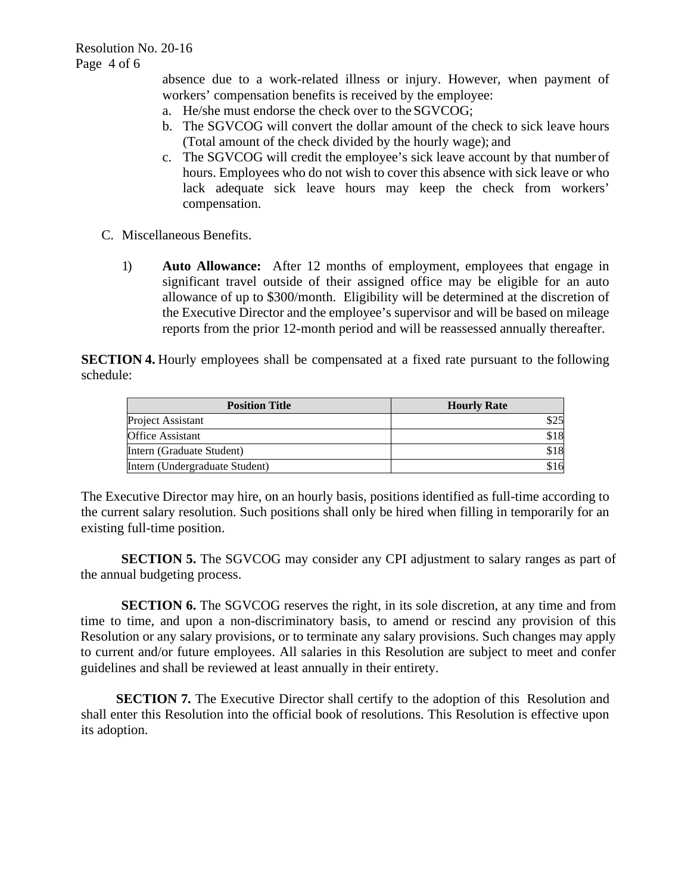absence due to a work-related illness or injury. However, when payment of workers' compensation benefits is received by the employee:

- a. He/she must endorse the check over to the SGVCOG;
- b. The SGVCOG will convert the dollar amount of the check to sick leave hours (Total amount of the check divided by the hourly wage); and
- c. The SGVCOG will credit the employee's sick leave account by that number of hours. Employees who do not wish to cover this absence with sick leave or who lack adequate sick leave hours may keep the check from workers' compensation.
- C. Miscellaneous Benefits.
	- 1) **Auto Allowance:** After 12 months of employment, employees that engage in significant travel outside of their assigned office may be eligible for an auto allowance of up to \$300/month. Eligibility will be determined at the discretion of the Executive Director and the employee's supervisor and will be based on mileage reports from the prior 12-month period and will be reassessed annually thereafter.

**SECTION 4.** Hourly employees shall be compensated at a fixed rate pursuant to the following schedule:

| <b>Position Title</b>          | <b>Hourly Rate</b> |
|--------------------------------|--------------------|
| Project Assistant              | \$25               |
| <b>Office Assistant</b>        | \$18               |
| Intern (Graduate Student)      | \$18               |
| Intern (Undergraduate Student) | \$16               |

The Executive Director may hire, on an hourly basis, positions identified as full-time according to the current salary resolution. Such positions shall only be hired when filling in temporarily for an existing full-time position.

**SECTION 5.** The SGVCOG may consider any CPI adjustment to salary ranges as part of the annual budgeting process.

**SECTION 6.** The SGVCOG reserves the right, in its sole discretion, at any time and from time to time, and upon a non-discriminatory basis, to amend or rescind any provision of this Resolution or any salary provisions, or to terminate any salary provisions. Such changes may apply to current and/or future employees. All salaries in this Resolution are subject to meet and confer guidelines and shall be reviewed at least annually in their entirety.

**SECTION 7.** The Executive Director shall certify to the adoption of this Resolution and shall enter this Resolution into the official book of resolutions. This Resolution is effective upon its adoption.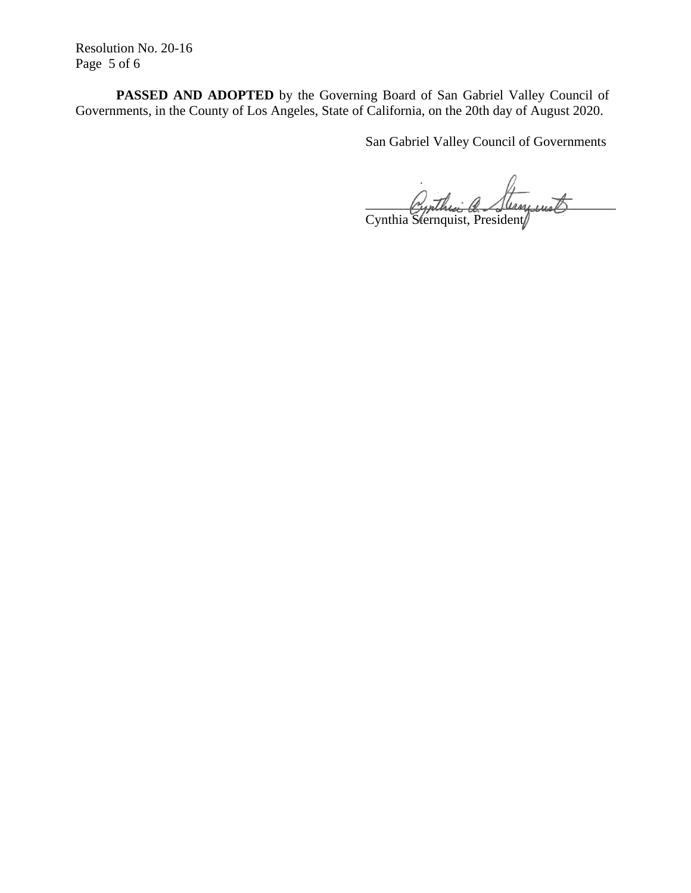Resolution No. 20-16 Page 5 of 6

**PASSED AND ADOPTED** by the Governing Board of San Gabriel Valley Council of Governments, in the County of Los Angeles, State of California, on the 20th day of August 2020.

San Gabriel Valley Council of Governments

cynthia a flerminist Cynthia Sternquist, President